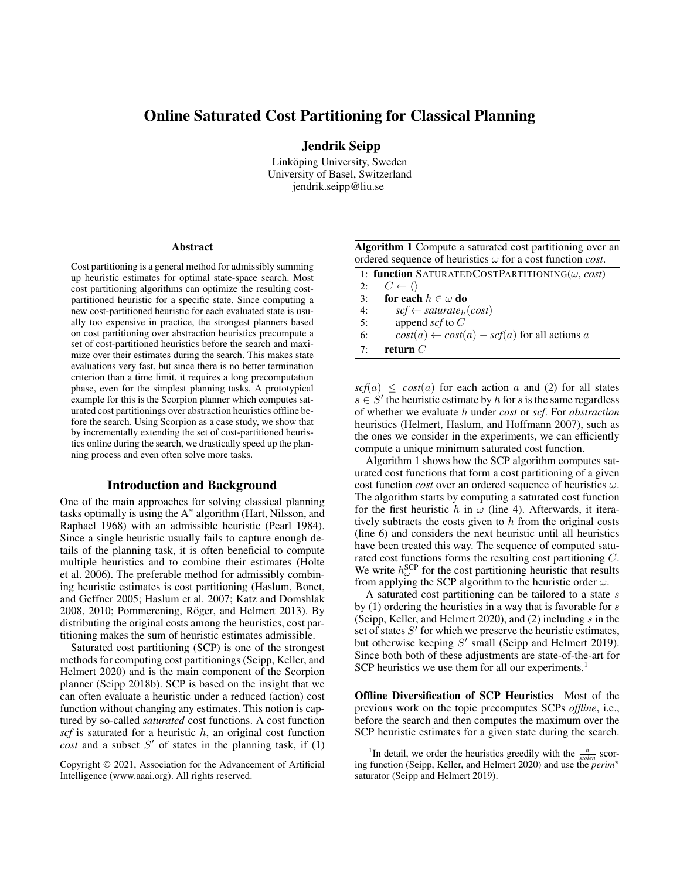# Online Saturated Cost Partitioning for Classical Planning

Jendrik Seipp

Linköping University, Sweden University of Basel, Switzerland jendrik.seipp@liu.se

#### Abstract

Cost partitioning is a general method for admissibly summing up heuristic estimates for optimal state-space search. Most cost partitioning algorithms can optimize the resulting costpartitioned heuristic for a specific state. Since computing a new cost-partitioned heuristic for each evaluated state is usually too expensive in practice, the strongest planners based on cost partitioning over abstraction heuristics precompute a set of cost-partitioned heuristics before the search and maximize over their estimates during the search. This makes state evaluations very fast, but since there is no better termination criterion than a time limit, it requires a long precomputation phase, even for the simplest planning tasks. A prototypical example for this is the Scorpion planner which computes saturated cost partitionings over abstraction heuristics offline before the search. Using Scorpion as a case study, we show that by incrementally extending the set of cost-partitioned heuristics online during the search, we drastically speed up the planning process and even often solve more tasks.

#### Introduction and Background

One of the main approaches for solving classical planning tasks optimally is using the A<sup>∗</sup> algorithm (Hart, Nilsson, and Raphael 1968) with an admissible heuristic (Pearl 1984). Since a single heuristic usually fails to capture enough details of the planning task, it is often beneficial to compute multiple heuristics and to combine their estimates (Holte et al. 2006). The preferable method for admissibly combining heuristic estimates is cost partitioning (Haslum, Bonet, and Geffner 2005; Haslum et al. 2007; Katz and Domshlak 2008, 2010; Pommerening, Röger, and Helmert 2013). By distributing the original costs among the heuristics, cost partitioning makes the sum of heuristic estimates admissible.

Saturated cost partitioning (SCP) is one of the strongest methods for computing cost partitionings (Seipp, Keller, and Helmert 2020) and is the main component of the Scorpion planner (Seipp 2018b). SCP is based on the insight that we can often evaluate a heuristic under a reduced (action) cost function without changing any estimates. This notion is captured by so-called *saturated* cost functions. A cost function  $scf$  is saturated for a heuristic  $h$ , an original cost function  $cost$  and a subset  $S'$  of states in the planning task, if  $(1)$ 

| Algorithm 1 Compute a saturated cost partitioning over an                 |  |
|---------------------------------------------------------------------------|--|
| ordered sequence of heuristics $\omega$ for a cost function <i>cost</i> . |  |

|           | 1: function SATURATEDCOSTPARTITIONING( $\omega$ , cost) |
|-----------|---------------------------------------------------------|
| 2:        | $C \leftarrow \langle \rangle$                          |
| 3:        | for each $h \in \omega$ do                              |
| 4:        | $scf \leftarrow saturate_h(cost)$                       |
| 5:        | append $\mathop{scf}$ to $C$                            |
| 6:        | $cost(a) \leftarrow cost(a) - scf(a)$ for all actions a |
| $7 \cdot$ | return $C$                                              |

 $\text{scf}(a) \leq \text{cost}(a)$  for each action a and (2) for all states  $s \in S'$  the heuristic estimate by h for s is the same regardless of whether we evaluate h under *cost* or *scf*. For *abstraction* heuristics (Helmert, Haslum, and Hoffmann 2007), such as the ones we consider in the experiments, we can efficiently compute a unique minimum saturated cost function.

Algorithm 1 shows how the SCP algorithm computes saturated cost functions that form a cost partitioning of a given cost function *cost* over an ordered sequence of heuristics  $\omega$ . The algorithm starts by computing a saturated cost function for the first heuristic h in  $\omega$  (line 4). Afterwards, it iteratively subtracts the costs given to  $h$  from the original costs (line 6) and considers the next heuristic until all heuristics have been treated this way. The sequence of computed saturated cost functions forms the resulting cost partitioning C. We write  $h^{\text{SCP}}_{\omega}$  for the cost partitioning heuristic that results from applying the SCP algorithm to the heuristic order  $\omega$ .

A saturated cost partitioning can be tailored to a state s by (1) ordering the heuristics in a way that is favorable for s (Seipp, Keller, and Helmert 2020), and (2) including s in the set of states  $S'$  for which we preserve the heuristic estimates, but otherwise keeping  $S'$  small (Seipp and Helmert 2019). Since both both of these adjustments are state-of-the-art for SCP heuristics we use them for all our experiments.<sup>1</sup>

Offline Diversification of SCP Heuristics Most of the previous work on the topic precomputes SCPs *offline*, i.e., before the search and then computes the maximum over the SCP heuristic estimates for a given state during the search.

Copyright © 2021, Association for the Advancement of Artificial Intelligence (www.aaai.org). All rights reserved.

<sup>&</sup>lt;sup>1</sup>In detail, we order the heuristics greedily with the  $\frac{h}{\text{stolen}}$  scoring function (Seipp, Keller, and Helmert 2020) and use the *perim*? saturator (Seipp and Helmert 2019).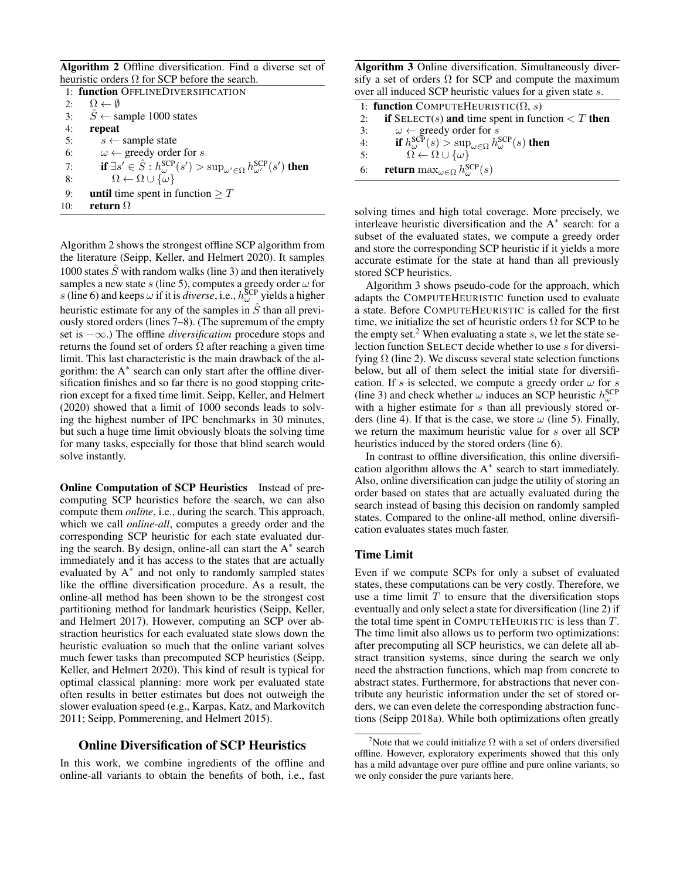Algorithm 2 Offline diversification. Find a diverse set of heuristic orders  $\Omega$  for SCP before the search.

| 1: function OFFLINEDIVERSIFICATION |                                                                                                                         |  |  |  |  |  |  |
|------------------------------------|-------------------------------------------------------------------------------------------------------------------------|--|--|--|--|--|--|
| 2:                                 | $\Omega \leftarrow \emptyset$                                                                                           |  |  |  |  |  |  |
| 3:                                 | $\hat{S} \leftarrow$ sample 1000 states                                                                                 |  |  |  |  |  |  |
| 4:                                 | repeat                                                                                                                  |  |  |  |  |  |  |
| 5:                                 | $s \leftarrow$ sample state                                                                                             |  |  |  |  |  |  |
| 6:                                 | $\omega \leftarrow$ greedy order for s                                                                                  |  |  |  |  |  |  |
| 7:                                 | if $\exists s' \in \hat{S} : h^{\text{SCP}}_{\omega}(s') > \sup_{\omega' \in \Omega} h^{\text{SCP}}_{\omega'}(s')$ then |  |  |  |  |  |  |
| 8:                                 | $\Omega \leftarrow \Omega \cup {\omega}$                                                                                |  |  |  |  |  |  |
| 9:                                 | <b>until</b> time spent in function $\geq T$                                                                            |  |  |  |  |  |  |
| 10:                                | return $\Omega$                                                                                                         |  |  |  |  |  |  |
|                                    |                                                                                                                         |  |  |  |  |  |  |

Algorithm 2 shows the strongest offline SCP algorithm from the literature (Seipp, Keller, and Helmert 2020). It samples 1000 states  $\hat{S}$  with random walks (line 3) and then iteratively samples a new state s (line 5), computes a greedy order  $\omega$  for s (line 6) and keeps  $\omega$  if it is *diverse*, i.e.,  $h_{\omega}^{\text{SCP}}$  yields a higher heuristic estimate for any of the samples in  $\hat{S}$  than all previously stored orders (lines 7–8). (The supremum of the empty set is −∞.) The offline *diversification* procedure stops and returns the found set of orders  $\Omega$  after reaching a given time limit. This last characteristic is the main drawback of the algorithm: the A<sup>∗</sup> search can only start after the offline diversification finishes and so far there is no good stopping criterion except for a fixed time limit. Seipp, Keller, and Helmert (2020) showed that a limit of 1000 seconds leads to solving the highest number of IPC benchmarks in 30 minutes, but such a huge time limit obviously bloats the solving time for many tasks, especially for those that blind search would solve instantly.

Online Computation of SCP Heuristics Instead of precomputing SCP heuristics before the search, we can also compute them *online*, i.e., during the search. This approach, which we call *online-all*, computes a greedy order and the corresponding SCP heuristic for each state evaluated during the search. By design, online-all can start the A<sup>∗</sup> search immediately and it has access to the states that are actually evaluated by A<sup>∗</sup> and not only to randomly sampled states like the offline diversification procedure. As a result, the online-all method has been shown to be the strongest cost partitioning method for landmark heuristics (Seipp, Keller, and Helmert 2017). However, computing an SCP over abstraction heuristics for each evaluated state slows down the heuristic evaluation so much that the online variant solves much fewer tasks than precomputed SCP heuristics (Seipp, Keller, and Helmert 2020). This kind of result is typical for optimal classical planning: more work per evaluated state often results in better estimates but does not outweigh the slower evaluation speed (e.g., Karpas, Katz, and Markovitch 2011; Seipp, Pommerening, and Helmert 2015).

# Online Diversification of SCP Heuristics

In this work, we combine ingredients of the offline and online-all variants to obtain the benefits of both, i.e., fast

Algorithm 3 Online diversification. Simultaneously diversify a set of orders  $\Omega$  for SCP and compute the maximum over all induced SCP heuristic values for a given state s.

|    | 1: function COMPUTEHEURISTIC( $\Omega$ , s)                                                |
|----|--------------------------------------------------------------------------------------------|
| 2: | if $\text{SELECT}(s)$ and time spent in function $\lt T$ then                              |
| 3: | $\omega \leftarrow$ greedy order for s                                                     |
| 4: | if $h_{\omega}^{\text{SCP}}(s) > \sup_{\omega \in \Omega} h_{\omega}^{\text{SCP}}(s)$ then |
| 5: | $\Omega \leftarrow \Omega \cup \{\omega\}$                                                 |
| 6: | <b>return</b> max $_{\omega \in \Omega} h_{\omega}^{\text{SCP}}(s)$                        |

solving times and high total coverage. More precisely, we interleave heuristic diversification and the A<sup>∗</sup> search: for a subset of the evaluated states, we compute a greedy order and store the corresponding SCP heuristic if it yields a more accurate estimate for the state at hand than all previously stored SCP heuristics.

Algorithm 3 shows pseudo-code for the approach, which adapts the COMPUTEHEURISTIC function used to evaluate a state. Before COMPUTEHEURISTIC is called for the first time, we initialize the set of heuristic orders  $\Omega$  for SCP to be the empty set.<sup>2</sup> When evaluating a state s, we let the state selection function SELECT decide whether to use s for diversifying  $\Omega$  (line 2). We discuss several state selection functions below, but all of them select the initial state for diversification. If s is selected, we compute a greedy order  $\omega$  for s (line 3) and check whether  $\omega$  induces an SCP heuristic  $h_{\omega}^{\text{SCP}}$ with a higher estimate for s than all previously stored orders (line 4). If that is the case, we store  $\omega$  (line 5). Finally, we return the maximum heuristic value for s over all SCP heuristics induced by the stored orders (line 6).

In contrast to offline diversification, this online diversification algorithm allows the A<sup>∗</sup> search to start immediately. Also, online diversification can judge the utility of storing an order based on states that are actually evaluated during the search instead of basing this decision on randomly sampled states. Compared to the online-all method, online diversification evaluates states much faster.

# Time Limit

Even if we compute SCPs for only a subset of evaluated states, these computations can be very costly. Therefore, we use a time limit  $T$  to ensure that the diversification stops eventually and only select a state for diversification (line 2) if the total time spent in COMPUTEHEURISTIC is less than  $T$ . The time limit also allows us to perform two optimizations: after precomputing all SCP heuristics, we can delete all abstract transition systems, since during the search we only need the abstraction functions, which map from concrete to abstract states. Furthermore, for abstractions that never contribute any heuristic information under the set of stored orders, we can even delete the corresponding abstraction functions (Seipp 2018a). While both optimizations often greatly

<sup>&</sup>lt;sup>2</sup>Note that we could initialize  $\Omega$  with a set of orders diversified offline. However, exploratory experiments showed that this only has a mild advantage over pure offline and pure online variants, so we only consider the pure variants here.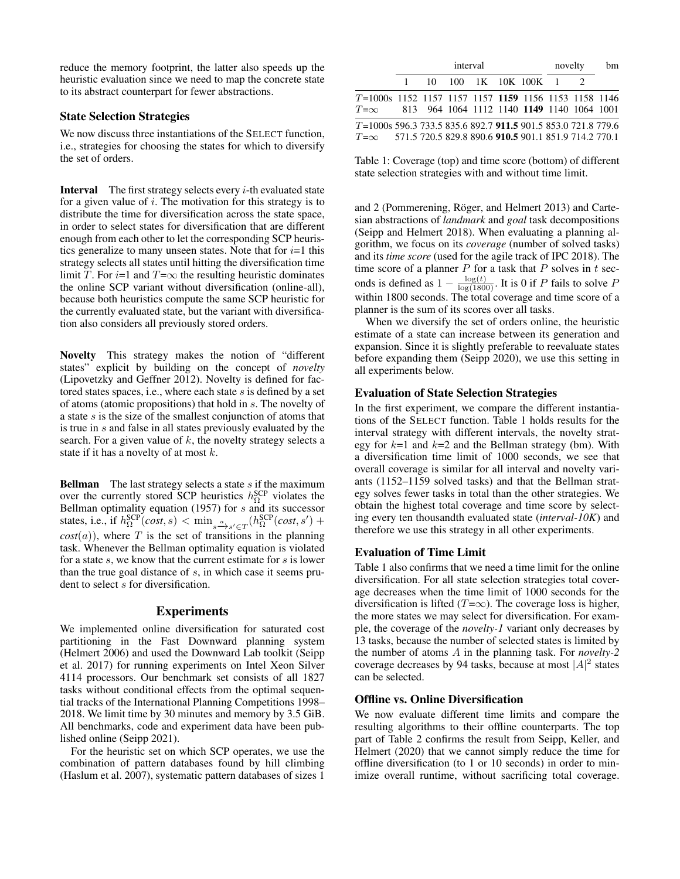reduce the memory footprint, the latter also speeds up the heuristic evaluation since we need to map the concrete state to its abstract counterpart for fewer abstractions.

# State Selection Strategies

We now discuss three instantiations of the SELECT function, i.e., strategies for choosing the states for which to diversify the set of orders.

**Interval** The first strategy selects every  $i$ -th evaluated state for a given value of  $i$ . The motivation for this strategy is to distribute the time for diversification across the state space, in order to select states for diversification that are different enough from each other to let the corresponding SCP heuristics generalize to many unseen states. Note that for  $i=1$  this strategy selects all states until hitting the diversification time limit T. For  $i=1$  and  $T=\infty$  the resulting heuristic dominates the online SCP variant without diversification (online-all), because both heuristics compute the same SCP heuristic for the currently evaluated state, but the variant with diversification also considers all previously stored orders.

Novelty This strategy makes the notion of "different states" explicit by building on the concept of *novelty* (Lipovetzky and Geffner 2012). Novelty is defined for factored states spaces, i.e., where each state s is defined by a set of atoms (atomic propositions) that hold in s. The novelty of a state  $s$  is the size of the smallest conjunction of atoms that is true in s and false in all states previously evaluated by the search. For a given value of  $k$ , the novelty strategy selects a state if it has a novelty of at most k.

**Bellman** The last strategy selects a state  $s$  if the maximum over the currently stored SCP heuristics  $h_{\Omega}^{\text{SCP}}$  violates the Bellman optimality equation (1957) for s and its successor states, i.e., if  $h_{\Omega}^{\text{SCP}}(cost, s) < \min_{s \to s' \in T} (h_{\Omega}^{\text{SCP}}(cost, s')$  +  $cost(a)$ , where T is the set of transitions in the planning task. Whenever the Bellman optimality equation is violated for a state  $s$ , we know that the current estimate for  $s$  is lower than the true goal distance of  $s$ , in which case it seems prudent to select s for diversification.

# Experiments

We implemented online diversification for saturated cost partitioning in the Fast Downward planning system (Helmert 2006) and used the Downward Lab toolkit (Seipp et al. 2017) for running experiments on Intel Xeon Silver 4114 processors. Our benchmark set consists of all 1827 tasks without conditional effects from the optimal sequential tracks of the International Planning Competitions 1998– 2018. We limit time by 30 minutes and memory by 3.5 GiB. All benchmarks, code and experiment data have been published online (Seipp 2021).

For the heuristic set on which SCP operates, we use the combination of pattern databases found by hill climbing (Haslum et al. 2007), systematic pattern databases of sizes 1

|                                                                                                                                     | interval |  |  |  |                          |  | novelty |  |
|-------------------------------------------------------------------------------------------------------------------------------------|----------|--|--|--|--------------------------|--|---------|--|
|                                                                                                                                     |          |  |  |  | 1 10 100 1K 10K 100K 1 2 |  |         |  |
| T=1000s 1152 1157 1157 1157 1159 1156 1153 1158 1146<br>$T=\infty$ 813 964 1064 1112 1140 1149 1140 1064 1001                       |          |  |  |  |                          |  |         |  |
| $T=1000s$ 596.3 733.5 835.6 892.7 911.5 901.5 853.0 721.8 779.6<br>$T=\infty$ 571.5 720.5 829.8 890.6 910.5 901.1 851.9 714.2 770.1 |          |  |  |  |                          |  |         |  |

Table 1: Coverage (top) and time score (bottom) of different state selection strategies with and without time limit.

and 2 (Pommerening, Röger, and Helmert 2013) and Cartesian abstractions of *landmark* and *goal* task decompositions (Seipp and Helmert 2018). When evaluating a planning algorithm, we focus on its *coverage* (number of solved tasks) and its *time score* (used for the agile track of IPC 2018). The time score of a planner  $P$  for a task that  $P$  solves in  $t$  seconds is defined as  $1 - \frac{\log(t)}{\log(1800)}$ . It is 0 if P fails to solve P within 1800 seconds. The total coverage and time score of a planner is the sum of its scores over all tasks.

When we diversify the set of orders online, the heuristic estimate of a state can increase between its generation and expansion. Since it is slightly preferable to reevaluate states before expanding them (Seipp 2020), we use this setting in all experiments below.

#### Evaluation of State Selection Strategies

In the first experiment, we compare the different instantiations of the SELECT function. Table 1 holds results for the interval strategy with different intervals, the novelty strategy for  $k=1$  and  $k=2$  and the Bellman strategy (bm). With a diversification time limit of 1000 seconds, we see that overall coverage is similar for all interval and novelty variants (1152–1159 solved tasks) and that the Bellman strategy solves fewer tasks in total than the other strategies. We obtain the highest total coverage and time score by selecting every ten thousandth evaluated state (*interval-10K*) and therefore we use this strategy in all other experiments.

# Evaluation of Time Limit

Table 1 also confirms that we need a time limit for the online diversification. For all state selection strategies total coverage decreases when the time limit of 1000 seconds for the diversification is lifted ( $T=\infty$ ). The coverage loss is higher, the more states we may select for diversification. For example, the coverage of the *novelty-1* variant only decreases by 13 tasks, because the number of selected states is limited by the number of atoms A in the planning task. For *novelty-2* coverage decreases by 94 tasks, because at most  $|A|^2$  states can be selected.

# Offline vs. Online Diversification

We now evaluate different time limits and compare the resulting algorithms to their offline counterparts. The top part of Table 2 confirms the result from Seipp, Keller, and Helmert (2020) that we cannot simply reduce the time for offline diversification (to 1 or 10 seconds) in order to minimize overall runtime, without sacrificing total coverage.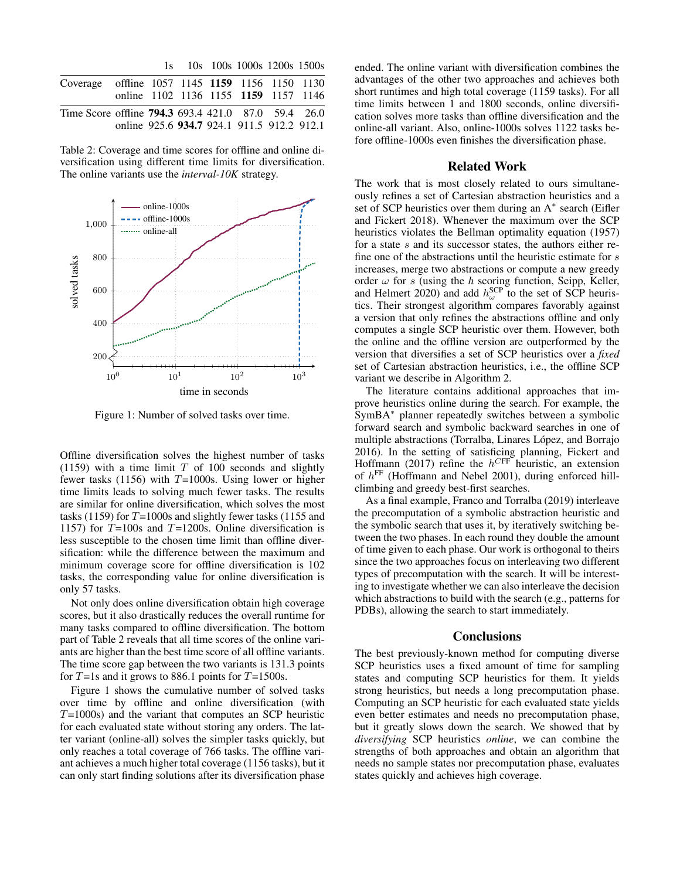|                                                            |                                            |  |  | 1s 10s 100s 1000s 1200s 1500s |  |
|------------------------------------------------------------|--------------------------------------------|--|--|-------------------------------|--|
| Coverage offline 1057 1145 1159 1156 1150 1130             |                                            |  |  |                               |  |
|                                                            | online 1102 1136 1155 1159 1157 1146       |  |  |                               |  |
| Time Score offline <b>794.3</b> 693.4 421.0 87.0 59.4 26.0 |                                            |  |  |                               |  |
|                                                            | online 925.6 934.7 924.1 911.5 912.2 912.1 |  |  |                               |  |

Table 2: Coverage and time scores for offline and online diversification using different time limits for diversification. The online variants use the *interval-10K* strategy.



Figure 1: Number of solved tasks over time.

Offline diversification solves the highest number of tasks (1159) with a time limit  $T$  of 100 seconds and slightly fewer tasks (1156) with  $T=1000$ s. Using lower or higher time limits leads to solving much fewer tasks. The results are similar for online diversification, which solves the most tasks (1159) for  $T=1000s$  and slightly fewer tasks (1155 and 1157) for  $T=100s$  and  $T=1200s$ . Online diversification is less susceptible to the chosen time limit than offline diversification: while the difference between the maximum and minimum coverage score for offline diversification is 102 tasks, the corresponding value for online diversification is only 57 tasks.

Not only does online diversification obtain high coverage scores, but it also drastically reduces the overall runtime for many tasks compared to offline diversification. The bottom part of Table 2 reveals that all time scores of the online variants are higher than the best time score of all offline variants. The time score gap between the two variants is 131.3 points for  $T=1s$  and it grows to 886.1 points for  $T=1500s$ .

Figure 1 shows the cumulative number of solved tasks over time by offline and online diversification (with  $T=1000s$ ) and the variant that computes an SCP heuristic for each evaluated state without storing any orders. The latter variant (online-all) solves the simpler tasks quickly, but only reaches a total coverage of 766 tasks. The offline variant achieves a much higher total coverage (1156 tasks), but it can only start finding solutions after its diversification phase

ended. The online variant with diversification combines the advantages of the other two approaches and achieves both short runtimes and high total coverage (1159 tasks). For all time limits between 1 and 1800 seconds, online diversification solves more tasks than offline diversification and the online-all variant. Also, online-1000s solves 1122 tasks before offline-1000s even finishes the diversification phase.

#### Related Work

The work that is most closely related to ours simultaneously refines a set of Cartesian abstraction heuristics and a set of SCP heuristics over them during an A<sup>\*</sup> search (Eifler and Fickert 2018). Whenever the maximum over the SCP heuristics violates the Bellman optimality equation (1957) for a state s and its successor states, the authors either refine one of the abstractions until the heuristic estimate for s increases, merge two abstractions or compute a new greedy order  $\omega$  for s (using the *h* scoring function, Seipp, Keller, and Helmert 2020) and add  $h_{\omega}^{\text{SCP}}$  to the set of SCP heuristics. Their strongest algorithm compares favorably against a version that only refines the abstractions offline and only computes a single SCP heuristic over them. However, both the online and the offline version are outperformed by the version that diversifies a set of SCP heuristics over a *fixed* set of Cartesian abstraction heuristics, i.e., the offline SCP variant we describe in Algorithm 2.

The literature contains additional approaches that improve heuristics online during the search. For example, the SymBA<sup>∗</sup> planner repeatedly switches between a symbolic forward search and symbolic backward searches in one of multiple abstractions (Torralba, Linares López, and Borrajo 2016). In the setting of satisficing planning, Fickert and Hoffmann (2017) refine the  $h^{CFF}$  heuristic, an extension of  $h^{\text{FF}}$  (Hoffmann and Nebel 2001), during enforced hillclimbing and greedy best-first searches.

As a final example, Franco and Torralba (2019) interleave the precomputation of a symbolic abstraction heuristic and the symbolic search that uses it, by iteratively switching between the two phases. In each round they double the amount of time given to each phase. Our work is orthogonal to theirs since the two approaches focus on interleaving two different types of precomputation with the search. It will be interesting to investigate whether we can also interleave the decision which abstractions to build with the search (e.g., patterns for PDBs), allowing the search to start immediately.

#### **Conclusions**

The best previously-known method for computing diverse SCP heuristics uses a fixed amount of time for sampling states and computing SCP heuristics for them. It yields strong heuristics, but needs a long precomputation phase. Computing an SCP heuristic for each evaluated state yields even better estimates and needs no precomputation phase, but it greatly slows down the search. We showed that by *diversifying* SCP heuristics *online*, we can combine the strengths of both approaches and obtain an algorithm that needs no sample states nor precomputation phase, evaluates states quickly and achieves high coverage.